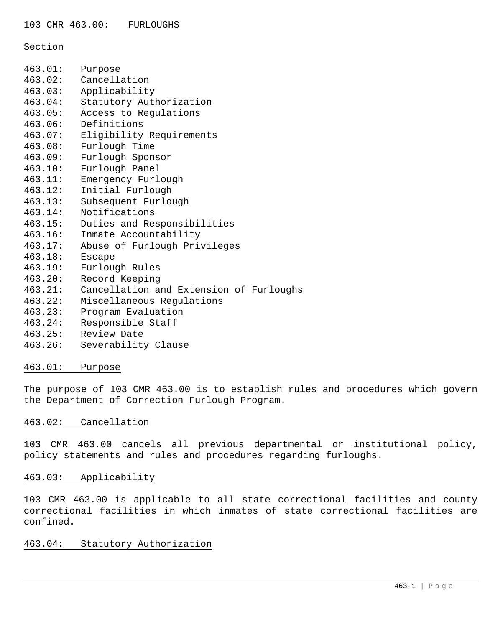Section

| 463.01: | Purpose                                 |
|---------|-----------------------------------------|
|         | 463.02: Cancellation                    |
| 463.03: | Applicability                           |
| 463.04: | Statutory Authorization                 |
| 463.05: | Access to Regulations                   |
| 463.06: | Definitions                             |
| 463.07: | Eligibility Requirements                |
| 463.08: | Furlough Time                           |
| 463.09: | Furlough Sponsor                        |
| 463.10: | Furlough Panel                          |
| 463.11: | Emergency Furlough                      |
| 463.12: | Initial Furlough                        |
| 463.13: | Subsequent Furlough                     |
| 463.14: | Notifications                           |
| 463.15: | Duties and Responsibilities             |
| 463.16: | Inmate Accountability                   |
| 463.17: | Abuse of Furlough Privileges            |
| 463.18: | <b>Escape</b>                           |
| 463.19: | Furlough Rules                          |
| 463.20: | Record Keeping                          |
| 463.21: | Cancellation and Extension of Furloughs |
| 463.22: | Miscellaneous Regulations               |
| 463.23: | Program Evaluation                      |
| 463.24: | Responsible Staff                       |
| 463.25: | Review Date                             |
| 463.26: | Severability Clause                     |

## 463.01: Purpose

The purpose of 103 CMR 463.00 is to establish rules and procedures which govern the Department of Correction Furlough Program.

# 463.02: Cancellation

103 CMR 463.00 cancels all previous departmental or institutional policy, policy statements and rules and procedures regarding furloughs.

## 463.03: Applicability

103 CMR 463.00 is applicable to all state correctional facilities and county correctional facilities in which inmates of state correctional facilities are confined.

# 463.04: Statutory Authorization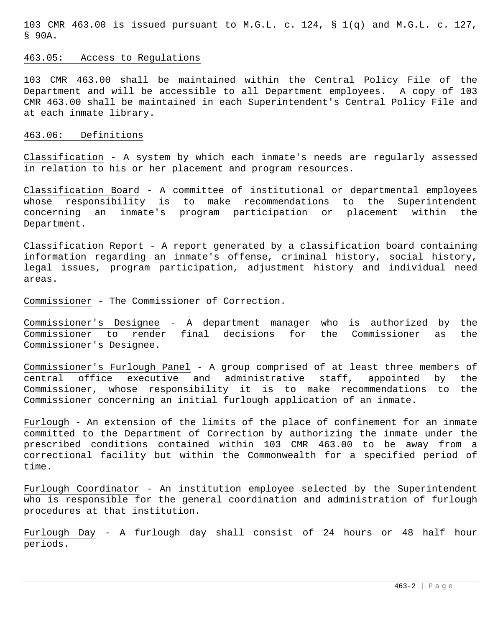103 CMR 463.00 is issued pursuant to M.G.L. c. 124, § 1(q) and M.G.L. c. 127, § 90A.

# 463.05: Access to Regulations

103 CMR 463.00 shall be maintained within the Central Policy File of the Department and will be accessible to all Department employees. A copy of 103 CMR 463.00 shall be maintained in each Superintendent's Central Policy File and at each inmate library.

#### 463.06: Definitions

Classification - A system by which each inmate's needs are regularly assessed in relation to his or her placement and program resources.

Classification Board - A committee of institutional or departmental employees whose responsibility is to make recommendations to the Superintendent concerning an inmate's program participation or placement within the Department.

Classification Report - A report generated by a classification board containing information regarding an inmate's offense, criminal history, social history, legal issues, program participation, adjustment history and individual need areas.

Commissioner - The Commissioner of Correction.

Commissioner's Designee - A department manager who is authorized by the Commissioner to render final decisions for the Commissioner as the Commissioner's Designee.

Commissioner's Furlough Panel - A group comprised of at least three members of central office executive and administrative staff, appointed by the Commissioner, whose responsibility it is to make recommendations to the Commissioner concerning an initial furlough application of an inmate.

Furlough - An extension of the limits of the place of confinement for an inmate committed to the Department of Correction by authorizing the inmate under the prescribed conditions contained within 103 CMR 463.00 to be away from a correctional facility but within the Commonwealth for a specified period of time.

Furlough Coordinator - An institution employee selected by the Superintendent who is responsible for the general coordination and administration of furlough procedures at that institution.

Furlough Day - A furlough day shall consist of 24 hours or 48 half hour periods.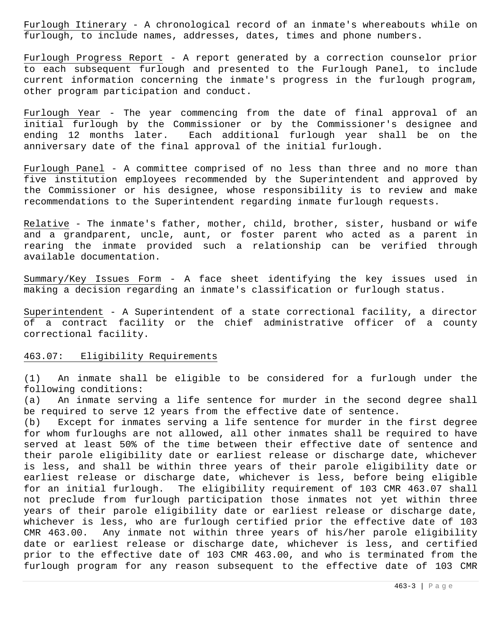Furlough Itinerary - A chronological record of an inmate's whereabouts while on furlough, to include names, addresses, dates, times and phone numbers.

Furlough Progress Report - A report generated by a correction counselor prior to each subsequent furlough and presented to the Furlough Panel, to include current information concerning the inmate's progress in the furlough program, other program participation and conduct.

Furlough Year - The year commencing from the date of final approval of an initial furlough by the Commissioner or by the Commissioner's designee and ending 12 months later. Each additional furlough year shall be on the anniversary date of the final approval of the initial furlough.

Furlough Panel - A committee comprised of no less than three and no more than five institution employees recommended by the Superintendent and approved by the Commissioner or his designee, whose responsibility is to review and make recommendations to the Superintendent regarding inmate furlough requests.

Relative - The inmate's father, mother, child, brother, sister, husband or wife and a grandparent, uncle, aunt, or foster parent who acted as a parent in rearing the inmate provided such a relationship can be verified through available documentation.

Summary/Key Issues Form - A face sheet identifying the key issues used in making a decision regarding an inmate's classification or furlough status.

Superintendent - A Superintendent of a state correctional facility, a director of a contract facility or the chief administrative officer of a county correctional facility.

#### 463.07: Eligibility Requirements

(1) An inmate shall be eligible to be considered for a furlough under the following conditions:

(a) An inmate serving a life sentence for murder in the second degree shall be required to serve 12 years from the effective date of sentence.

(b) Except for inmates serving a life sentence for murder in the first degree for whom furloughs are not allowed, all other inmates shall be required to have served at least 50% of the time between their effective date of sentence and their parole eligibility date or earliest release or discharge date, whichever is less, and shall be within three years of their parole eligibility date or earliest release or discharge date, whichever is less, before being eligible for an initial furlough. The eligibility requirement of 103 CMR 463.07 shall not preclude from furlough participation those inmates not yet within three years of their parole eligibility date or earliest release or discharge date, whichever is less, who are furlough certified prior the effective date of 103 CMR 463.00. Any inmate not within three years of his/her parole eligibility date or earliest release or discharge date, whichever is less, and certified prior to the effective date of 103 CMR 463.00, and who is terminated from the furlough program for any reason subsequent to the effective date of 103 CMR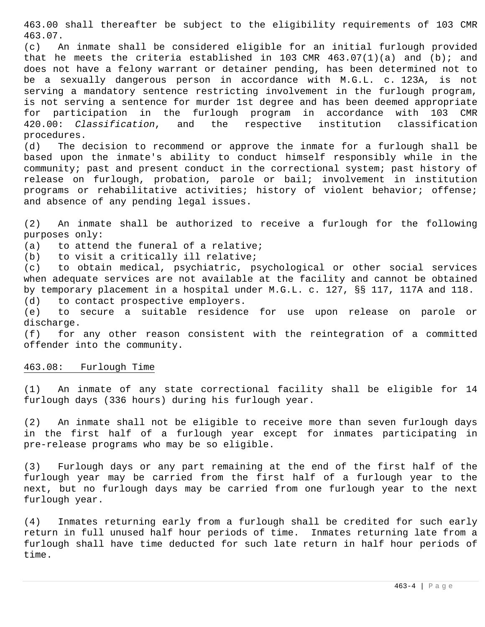463.00 shall thereafter be subject to the eligibility requirements of 103 CMR 463.07.

(c) An inmate shall be considered eligible for an initial furlough provided that he meets the criteria established in 103 CMR  $463.07(1)(a)$  and (b); and does not have a felony warrant or detainer pending, has been determined not to be a sexually dangerous person in accordance with M.G.L. c. 123A, is not serving a mandatory sentence restricting involvement in the furlough program, is not serving a sentence for murder 1st degree and has been deemed appropriate for participation in the furlough program in accordance with 103 CMR 420.00: *Classification*, and the respective institution classification procedures.

(d) The decision to recommend or approve the inmate for a furlough shall be based upon the inmate's ability to conduct himself responsibly while in the community; past and present conduct in the correctional system; past history of release on furlough, probation, parole or bail; involvement in institution programs or rehabilitative activities; history of violent behavior; offense; and absence of any pending legal issues.

(2) An inmate shall be authorized to receive a furlough for the following purposes only:

(a) to attend the funeral of a relative;

(b) to visit a critically ill relative;

(c) to obtain medical, psychiatric, psychological or other social services when adequate services are not available at the facility and cannot be obtained by temporary placement in a hospital under M.G.L. c. 127, §§ 117, 117A and 118. (d) to contact prospective employers.

(e) to secure a suitable residence for use upon release on parole or discharge.

(f) for any other reason consistent with the reintegration of a committed offender into the community.

### 463.08: Furlough Time

(1) An inmate of any state correctional facility shall be eligible for 14 furlough days (336 hours) during his furlough year.

(2) An inmate shall not be eligible to receive more than seven furlough days in the first half of a furlough year except for inmates participating in pre-release programs who may be so eligible.

(3) Furlough days or any part remaining at the end of the first half of the furlough year may be carried from the first half of a furlough year to the next, but no furlough days may be carried from one furlough year to the next furlough year.

(4) Inmates returning early from a furlough shall be credited for such early return in full unused half hour periods of time. Inmates returning late from a furlough shall have time deducted for such late return in half hour periods of time.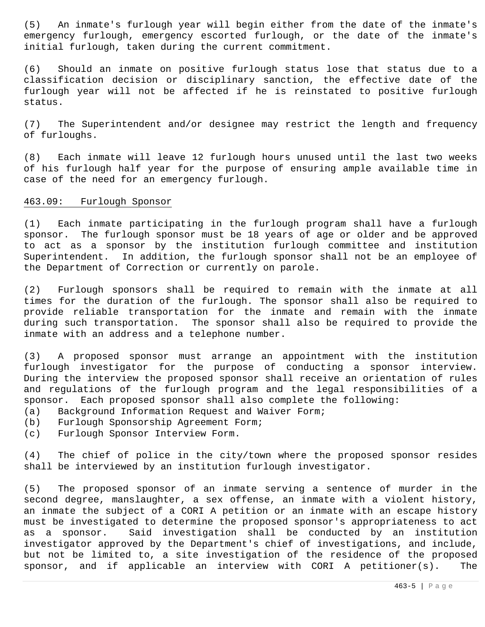(5) An inmate's furlough year will begin either from the date of the inmate's emergency furlough, emergency escorted furlough, or the date of the inmate's initial furlough, taken during the current commitment.

(6) Should an inmate on positive furlough status lose that status due to a classification decision or disciplinary sanction, the effective date of the furlough year will not be affected if he is reinstated to positive furlough status.

(7) The Superintendent and/or designee may restrict the length and frequency of furloughs.

(8) Each inmate will leave 12 furlough hours unused until the last two weeks of his furlough half year for the purpose of ensuring ample available time in case of the need for an emergency furlough.

#### 463.09: Furlough Sponsor

(1) Each inmate participating in the furlough program shall have a furlough sponsor. The furlough sponsor must be 18 years of age or older and be approved to act as a sponsor by the institution furlough committee and institution Superintendent. In addition, the furlough sponsor shall not be an employee of the Department of Correction or currently on parole.

(2) Furlough sponsors shall be required to remain with the inmate at all times for the duration of the furlough. The sponsor shall also be required to provide reliable transportation for the inmate and remain with the inmate during such transportation. The sponsor shall also be required to provide the inmate with an address and a telephone number.

(3) A proposed sponsor must arrange an appointment with the institution furlough investigator for the purpose of conducting a sponsor interview. During the interview the proposed sponsor shall receive an orientation of rules and regulations of the furlough program and the legal responsibilities of a sponsor. Each proposed sponsor shall also complete the following:

- (a) Background Information Request and Waiver Form;
- (b) Furlough Sponsorship Agreement Form;
- (c) Furlough Sponsor Interview Form.

(4) The chief of police in the city/town where the proposed sponsor resides shall be interviewed by an institution furlough investigator.

(5) The proposed sponsor of an inmate serving a sentence of murder in the second degree, manslaughter, a sex offense, an inmate with a violent history, an inmate the subject of a CORI A petition or an inmate with an escape history must be investigated to determine the proposed sponsor's appropriateness to act as a sponsor. Said investigation shall be conducted by an institution investigator approved by the Department's chief of investigations, and include, but not be limited to, a site investigation of the residence of the proposed sponsor, and if applicable an interview with CORI A petitioner(s). The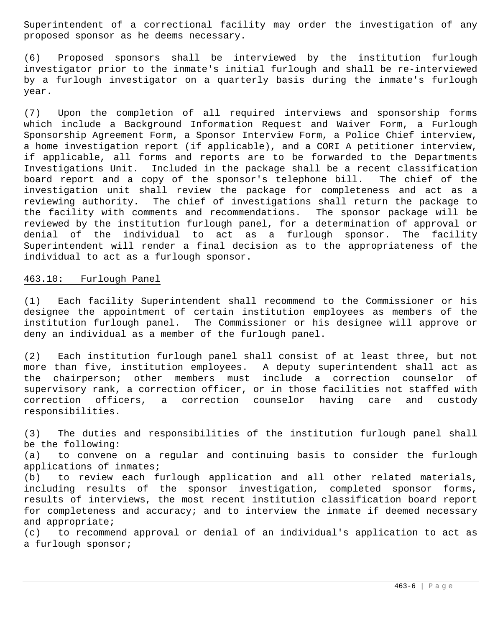Superintendent of a correctional facility may order the investigation of any proposed sponsor as he deems necessary.

(6) Proposed sponsors shall be interviewed by the institution furlough investigator prior to the inmate's initial furlough and shall be re-interviewed by a furlough investigator on a quarterly basis during the inmate's furlough year.

(7) Upon the completion of all required interviews and sponsorship forms which include a Background Information Request and Waiver Form, a Furlough Sponsorship Agreement Form, a Sponsor Interview Form, a Police Chief interview, a home investigation report (if applicable), and a CORI A petitioner interview, if applicable, all forms and reports are to be forwarded to the Departments Investigations Unit. Included in the package shall be a recent classification board report and a copy of the sponsor's telephone bill. The chief of the investigation unit shall review the package for completeness and act as a reviewing authority. The chief of investigations shall return the package to the facility with comments and recommendations. The sponsor package will be reviewed by the institution furlough panel, for a determination of approval or denial of the individual to act as a furlough sponsor. The facility Superintendent will render a final decision as to the appropriateness of the individual to act as a furlough sponsor.

### 463.10: Furlough Panel

a furlough sponsor;

(1) Each facility Superintendent shall recommend to the Commissioner or his designee the appointment of certain institution employees as members of the institution furlough panel. The Commissioner or his designee will approve or deny an individual as a member of the furlough panel.

(2) Each institution furlough panel shall consist of at least three, but not more than five, institution employees. A deputy superintendent shall act as the chairperson; other members must include a correction counselor of supervisory rank, a correction officer, or in those facilities not staffed with correction officers, a correction counselor having care and custody responsibilities.

(3) The duties and responsibilities of the institution furlough panel shall be the following: (a) to convene on a regular and continuing basis to consider the furlough applications of inmates; (b) to review each furlough application and all other related materials, including results of the sponsor investigation, completed sponsor forms, results of interviews, the most recent institution classification board report for completeness and accuracy; and to interview the inmate if deemed necessary and appropriate; (c) to recommend approval or denial of an individual's application to act as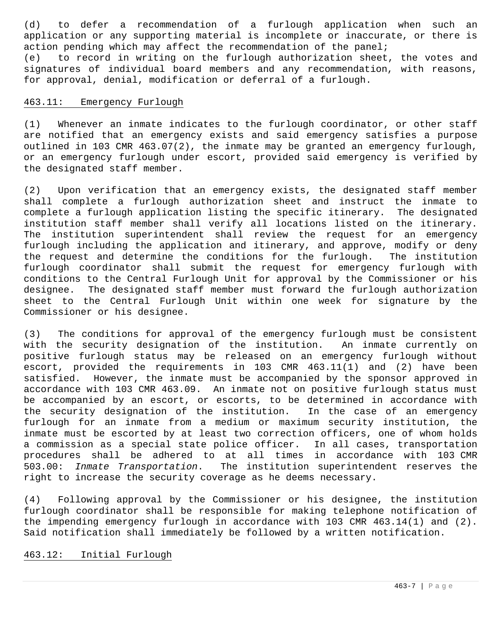(d) to defer a recommendation of a furlough application when such an application or any supporting material is incomplete or inaccurate, or there is action pending which may affect the recommendation of the panel; (e) to record in writing on the furlough authorization sheet, the votes and signatures of individual board members and any recommendation, with reasons, for approval, denial, modification or deferral of a furlough.

## 463.11: Emergency Furlough

(1) Whenever an inmate indicates to the furlough coordinator, or other staff are notified that an emergency exists and said emergency satisfies a purpose outlined in 103 CMR 463.07(2), the inmate may be granted an emergency furlough, or an emergency furlough under escort, provided said emergency is verified by the designated staff member.

(2) Upon verification that an emergency exists, the designated staff member shall complete a furlough authorization sheet and instruct the inmate to complete a furlough application listing the specific itinerary. The designated institution staff member shall verify all locations listed on the itinerary. The institution superintendent shall review the request for an emergency furlough including the application and itinerary, and approve, modify or deny the request and determine the conditions for the furlough. The institution furlough coordinator shall submit the request for emergency furlough with conditions to the Central Furlough Unit for approval by the Commissioner or his designee. The designated staff member must forward the furlough authorization sheet to the Central Furlough Unit within one week for signature by the Commissioner or his designee.

(3) The conditions for approval of the emergency furlough must be consistent with the security designation of the institution. An inmate currently on positive furlough status may be released on an emergency furlough without escort, provided the requirements in 103 CMR 463.11(1) and (2) have been satisfied. However, the inmate must be accompanied by the sponsor approved in accordance with 103 CMR 463.09. An inmate not on positive furlough status must be accompanied by an escort, or escorts, to be determined in accordance with the security designation of the institution. In the case of an emergency furlough for an inmate from a medium or maximum security institution, the inmate must be escorted by at least two correction officers, one of whom holds a commission as a special state police officer. In all cases, transportation procedures shall be adhered to at all times in accordance with 103 CMR 503.00: *Inmate Transportation*. The institution superintendent reserves the right to increase the security coverage as he deems necessary.

(4) Following approval by the Commissioner or his designee, the institution furlough coordinator shall be responsible for making telephone notification of the impending emergency furlough in accordance with 103 CMR 463.14(1) and (2). Said notification shall immediately be followed by a written notification.

## 463.12: Initial Furlough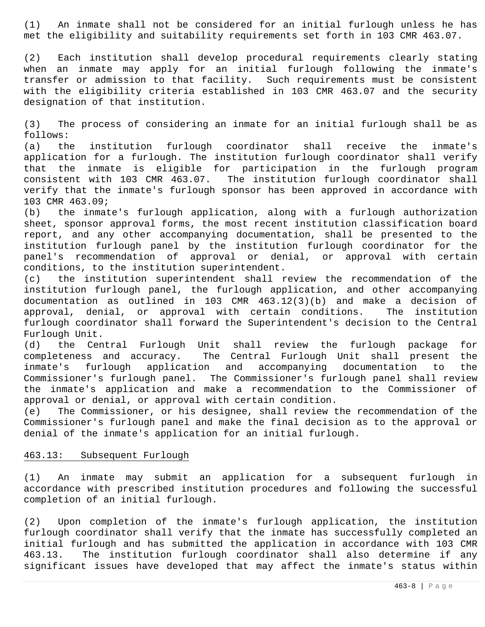(1) An inmate shall not be considered for an initial furlough unless he has met the eligibility and suitability requirements set forth in 103 CMR 463.07.

(2) Each institution shall develop procedural requirements clearly stating when an inmate may apply for an initial furlough following the inmate's transfer or admission to that facility. Such requirements must be consistent with the eligibility criteria established in 103 CMR 463.07 and the security designation of that institution.

(3) The process of considering an inmate for an initial furlough shall be as follows:

(a) the institution furlough coordinator shall receive the inmate's application for a furlough. The institution furlough coordinator shall verify that the inmate is eligible for participation in the furlough program consistent with 103 CMR 463.07. The institution furlough coordinator shall verify that the inmate's furlough sponsor has been approved in accordance with 103 CMR 463.09;

(b) the inmate's furlough application, along with a furlough authorization sheet, sponsor approval forms, the most recent institution classification board report, and any other accompanying documentation, shall be presented to the institution furlough panel by the institution furlough coordinator for the panel's recommendation of approval or denial, or approval with certain conditions, to the institution superintendent.

(c) the institution superintendent shall review the recommendation of the institution furlough panel, the furlough application, and other accompanying documentation as outlined in 103 CMR 463.12(3)(b) and make a decision of approval, denial, or approval with certain conditions. The institution furlough coordinator shall forward the Superintendent's decision to the Central Furlough Unit.

(d) the Central Furlough Unit shall review the furlough package for completeness and accuracy. The Central Furlough Unit shall present the<br>inmate's furlough application and accompanying documentation to the inmate's furlough application and accompanying documentation to the Commissioner's furlough panel. The Commissioner's furlough panel shall review the inmate's application and make a recommendation to the Commissioner of approval or denial, or approval with certain condition.

(e) The Commissioner, or his designee, shall review the recommendation of the Commissioner's furlough panel and make the final decision as to the approval or denial of the inmate's application for an initial furlough.

## 463.13: Subsequent Furlough

(1) An inmate may submit an application for a subsequent furlough in accordance with prescribed institution procedures and following the successful completion of an initial furlough.

(2) Upon completion of the inmate's furlough application, the institution furlough coordinator shall verify that the inmate has successfully completed an initial furlough and has submitted the application in accordance with 103 CMR 463.13. The institution furlough coordinator shall also determine if any significant issues have developed that may affect the inmate's status within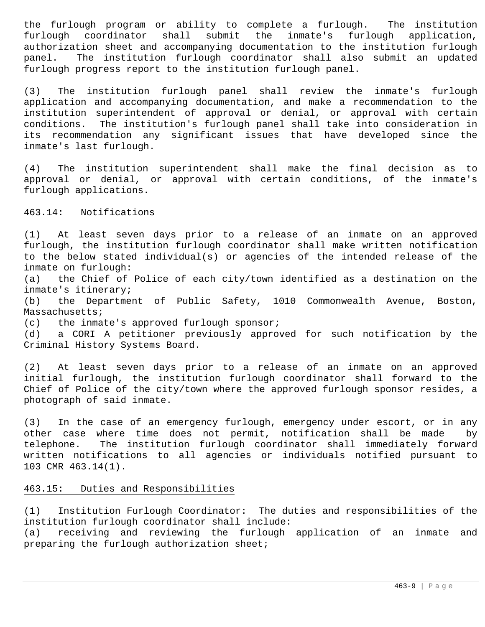the furlough program or ability to complete a furlough. The institution furlough coordinator shall submit the inmate's furlough application, authorization sheet and accompanying documentation to the institution furlough panel. The institution furlough coordinator shall also submit an updated furlough progress report to the institution furlough panel.

(3) The institution furlough panel shall review the inmate's furlough application and accompanying documentation, and make a recommendation to the institution superintendent of approval or denial, or approval with certain conditions. The institution's furlough panel shall take into consideration in its recommendation any significant issues that have developed since the inmate's last furlough.

(4) The institution superintendent shall make the final decision as to approval or denial, or approval with certain conditions, of the inmate's furlough applications.

### 463.14: Notifications

(1) At least seven days prior to a release of an inmate on an approved furlough, the institution furlough coordinator shall make written notification to the below stated individual(s) or agencies of the intended release of the inmate on furlough:

(a) the Chief of Police of each city/town identified as a destination on the inmate's itinerary;

(b) the Department of Public Safety, 1010 Commonwealth Avenue, Boston, Massachusetts;

(c) the inmate's approved furlough sponsor;

(d) a CORI A petitioner previously approved for such notification by the Criminal History Systems Board.

(2) At least seven days prior to a release of an inmate on an approved initial furlough, the institution furlough coordinator shall forward to the Chief of Police of the city/town where the approved furlough sponsor resides, a photograph of said inmate.

(3) In the case of an emergency furlough, emergency under escort, or in any other case where time does not permit, notification shall be made by telephone. The institution furlough coordinator shall immediately forward written notifications to all agencies or individuals notified pursuant to 103 CMR 463.14(1).

## 463.15: Duties and Responsibilities

(1) Institution Furlough Coordinator: The duties and responsibilities of the institution furlough coordinator shall include:

(a) receiving and reviewing the furlough application of an inmate and preparing the furlough authorization sheet;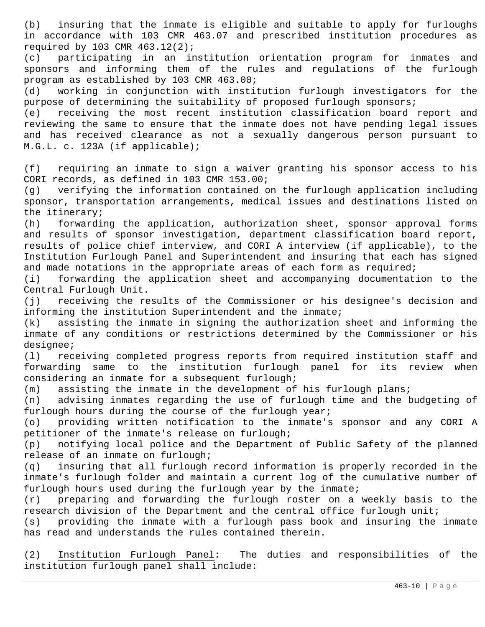(b) insuring that the inmate is eligible and suitable to apply for furloughs in accordance with 103 CMR 463.07 and prescribed institution procedures as required by 103 CMR 463.12(2);

(c) participating in an institution orientation program for inmates and sponsors and informing them of the rules and regulations of the furlough program as established by 103 CMR 463.00;

(d) working in conjunction with institution furlough investigators for the purpose of determining the suitability of proposed furlough sponsors;

(e) receiving the most recent institution classification board report and reviewing the same to ensure that the inmate does not have pending legal issues and has received clearance as not a sexually dangerous person pursuant to M.G.L. c. 123A (if applicable);

(f) requiring an inmate to sign a waiver granting his sponsor access to his CORI records, as defined in 103 CMR 153.00;

(g) verifying the information contained on the furlough application including sponsor, transportation arrangements, medical issues and destinations listed on the itinerary;

(h) forwarding the application, authorization sheet, sponsor approval forms and results of sponsor investigation, department classification board report, results of police chief interview, and CORI A interview (if applicable), to the Institution Furlough Panel and Superintendent and insuring that each has signed and made notations in the appropriate areas of each form as required;

(i) forwarding the application sheet and accompanying documentation to the Central Furlough Unit.

(j) receiving the results of the Commissioner or his designee's decision and informing the institution Superintendent and the inmate;

(k) assisting the inmate in signing the authorization sheet and informing the inmate of any conditions or restrictions determined by the Commissioner or his designee;

(l) receiving completed progress reports from required institution staff and forwarding same to the institution furlough panel for its review when considering an inmate for a subsequent furlough;

(m) assisting the inmate in the development of his furlough plans;

(n) advising inmates regarding the use of furlough time and the budgeting of furlough hours during the course of the furlough year;

(o) providing written notification to the inmate's sponsor and any CORI A petitioner of the inmate's release on furlough;

(p) notifying local police and the Department of Public Safety of the planned release of an inmate on furlough;

(q) insuring that all furlough record information is properly recorded in the inmate's furlough folder and maintain a current log of the cumulative number of furlough hours used during the furlough year by the inmate;

(r) preparing and forwarding the furlough roster on a weekly basis to the research division of the Department and the central office furlough unit;

(s) providing the inmate with a furlough pass book and insuring the inmate has read and understands the rules contained therein.

(2) Institution Furlough Panel: The duties and responsibilities of the institution furlough panel shall include: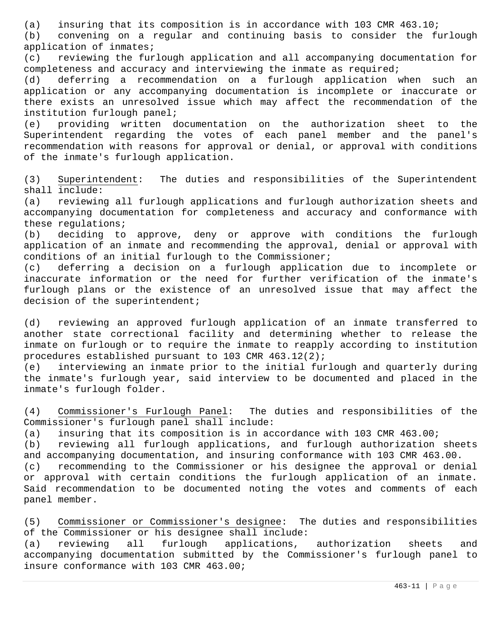(a) insuring that its composition is in accordance with 103 CMR 463.10;

(b) convening on a regular and continuing basis to consider the furlough application of inmates;

(c) reviewing the furlough application and all accompanying documentation for completeness and accuracy and interviewing the inmate as required;

(d) deferring a recommendation on a furlough application when such an application or any accompanying documentation is incomplete or inaccurate or there exists an unresolved issue which may affect the recommendation of the institution furlough panel;

(e) providing written documentation on the authorization sheet to the Superintendent regarding the votes of each panel member and the panel's recommendation with reasons for approval or denial, or approval with conditions of the inmate's furlough application.

(3) Superintendent: The duties and responsibilities of the Superintendent shall include:

(a) reviewing all furlough applications and furlough authorization sheets and accompanying documentation for completeness and accuracy and conformance with these regulations;

(b) deciding to approve, deny or approve with conditions the furlough application of an inmate and recommending the approval, denial or approval with conditions of an initial furlough to the Commissioner;

(c) deferring a decision on a furlough application due to incomplete or inaccurate information or the need for further verification of the inmate's furlough plans or the existence of an unresolved issue that may affect the decision of the superintendent;

(d) reviewing an approved furlough application of an inmate transferred to another state correctional facility and determining whether to release the inmate on furlough or to require the inmate to reapply according to institution procedures established pursuant to 103 CMR 463.12(2);

(e) interviewing an inmate prior to the initial furlough and quarterly during the inmate's furlough year, said interview to be documented and placed in the inmate's furlough folder.

(4) Commissioner's Furlough Panel: The duties and responsibilities of the Commissioner's furlough panel shall include:

(a) insuring that its composition is in accordance with 103 CMR 463.00;

(b) reviewing all furlough applications, and furlough authorization sheets and accompanying documentation, and insuring conformance with 103 CMR 463.00.

(c) recommending to the Commissioner or his designee the approval or denial or approval with certain conditions the furlough application of an inmate. Said recommendation to be documented noting the votes and comments of each panel member.

(5) Commissioner or Commissioner's designee: The duties and responsibilities of the Commissioner or his designee shall include:

(a) reviewing all furlough applications, authorization sheets and accompanying documentation submitted by the Commissioner's furlough panel to insure conformance with 103 CMR 463.00;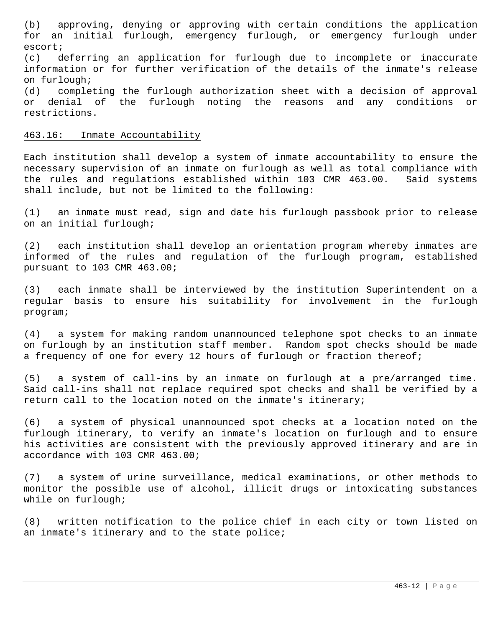(b) approving, denying or approving with certain conditions the application for an initial furlough, emergency furlough, or emergency furlough under escort;

(c) deferring an application for furlough due to incomplete or inaccurate information or for further verification of the details of the inmate's release on furlough;

(d) completing the furlough authorization sheet with a decision of approval or denial of the furlough noting the reasons and any conditions or restrictions.

#### 463.16: Inmate Accountability

Each institution shall develop a system of inmate accountability to ensure the necessary supervision of an inmate on furlough as well as total compliance with the rules and regulations established within 103 CMR 463.00. Said systems shall include, but not be limited to the following:

(1) an inmate must read, sign and date his furlough passbook prior to release on an initial furlough;

(2) each institution shall develop an orientation program whereby inmates are informed of the rules and regulation of the furlough program, established pursuant to 103 CMR 463.00;

(3) each inmate shall be interviewed by the institution Superintendent on a regular basis to ensure his suitability for involvement in the furlough program;

(4) a system for making random unannounced telephone spot checks to an inmate on furlough by an institution staff member. Random spot checks should be made a frequency of one for every 12 hours of furlough or fraction thereof;

(5) a system of call-ins by an inmate on furlough at a pre/arranged time. Said call-ins shall not replace required spot checks and shall be verified by a return call to the location noted on the inmate's itinerary;

(6) a system of physical unannounced spot checks at a location noted on the furlough itinerary, to verify an inmate's location on furlough and to ensure his activities are consistent with the previously approved itinerary and are in accordance with 103 CMR 463.00;

(7) a system of urine surveillance, medical examinations, or other methods to monitor the possible use of alcohol, illicit drugs or intoxicating substances while on furlough;

(8) written notification to the police chief in each city or town listed on an inmate's itinerary and to the state police;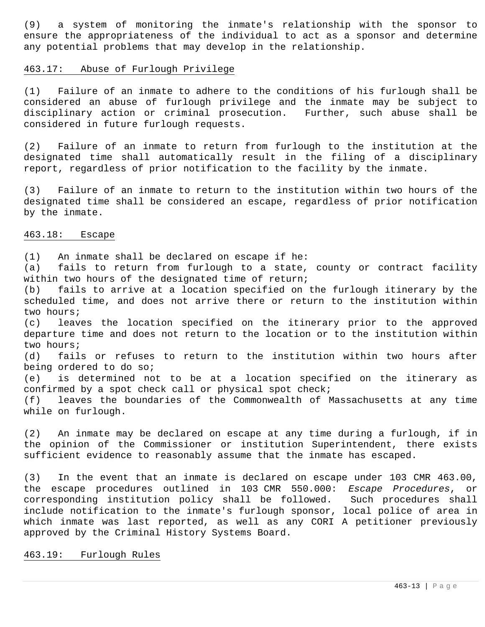(9) a system of monitoring the inmate's relationship with the sponsor to ensure the appropriateness of the individual to act as a sponsor and determine any potential problems that may develop in the relationship.

#### 463.17: Abuse of Furlough Privilege

(1) Failure of an inmate to adhere to the conditions of his furlough shall be considered an abuse of furlough privilege and the inmate may be subject to disciplinary action or criminal prosecution. Further, such abuse shall be considered in future furlough requests.

(2) Failure of an inmate to return from furlough to the institution at the designated time shall automatically result in the filing of a disciplinary report, regardless of prior notification to the facility by the inmate.

(3) Failure of an inmate to return to the institution within two hours of the designated time shall be considered an escape, regardless of prior notification by the inmate.

### 463.18: Escape

(1) An inmate shall be declared on escape if he:

(a) fails to return from furlough to a state, county or contract facility within two hours of the designated time of return;

(b) fails to arrive at a location specified on the furlough itinerary by the scheduled time, and does not arrive there or return to the institution within two hours;

(c) leaves the location specified on the itinerary prior to the approved departure time and does not return to the location or to the institution within two hours;

(d) fails or refuses to return to the institution within two hours after being ordered to do so;

(e) is determined not to be at a location specified on the itinerary as confirmed by a spot check call or physical spot check;

(f) leaves the boundaries of the Commonwealth of Massachusetts at any time while on furlough.

(2) An inmate may be declared on escape at any time during a furlough, if in the opinion of the Commissioner or institution Superintendent, there exists sufficient evidence to reasonably assume that the inmate has escaped.

(3) In the event that an inmate is declared on escape under 103 CMR 463.00, the escape procedures outlined in 103 CMR 550.000: *Escape Procedures*, or corresponding institution policy shall be followed. Such procedures shall include notification to the inmate's furlough sponsor, local police of area in which inmate was last reported, as well as any CORI A petitioner previously approved by the Criminal History Systems Board.

## 463.19: Furlough Rules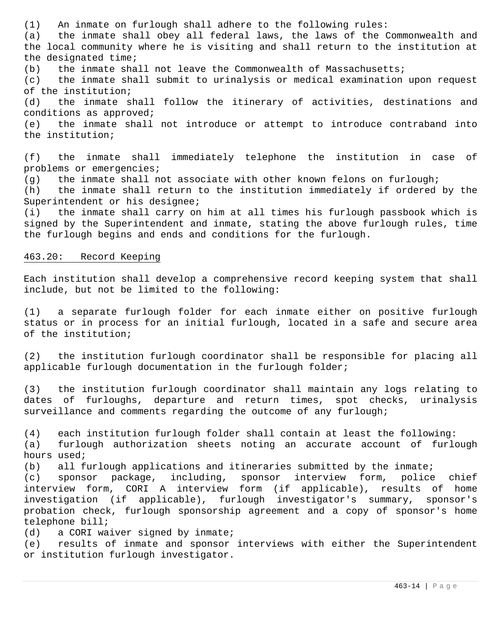(1) An inmate on furlough shall adhere to the following rules:

(a) the inmate shall obey all federal laws, the laws of the Commonwealth and the local community where he is visiting and shall return to the institution at the designated time;

(b) the inmate shall not leave the Commonwealth of Massachusetts;

(c) the inmate shall submit to urinalysis or medical examination upon request of the institution;

(d) the inmate shall follow the itinerary of activities, destinations and conditions as approved;

(e) the inmate shall not introduce or attempt to introduce contraband into the institution;

(f) the inmate shall immediately telephone the institution in case of problems or emergencies;

(g) the inmate shall not associate with other known felons on furlough;

(h) the inmate shall return to the institution immediately if ordered by the Superintendent or his designee;

(i) the inmate shall carry on him at all times his furlough passbook which is signed by the Superintendent and inmate, stating the above furlough rules, time the furlough begins and ends and conditions for the furlough.

# 463.20: Record Keeping

Each institution shall develop a comprehensive record keeping system that shall include, but not be limited to the following:

(1) a separate furlough folder for each inmate either on positive furlough status or in process for an initial furlough, located in a safe and secure area of the institution;

(2) the institution furlough coordinator shall be responsible for placing all applicable furlough documentation in the furlough folder;

(3) the institution furlough coordinator shall maintain any logs relating to dates of furloughs, departure and return times, spot checks, urinalysis surveillance and comments regarding the outcome of any furlough;

(4) each institution furlough folder shall contain at least the following:

(a) furlough authorization sheets noting an accurate account of furlough hours used;

(b) all furlough applications and itineraries submitted by the inmate;

(c) sponsor package, including, sponsor interview form, police chief interview form, CORI A interview form (if applicable), results of home investigation (if applicable), furlough investigator's summary, sponsor's probation check, furlough sponsorship agreement and a copy of sponsor's home telephone bill;

(d) a CORI waiver signed by inmate;

(e) results of inmate and sponsor interviews with either the Superintendent or institution furlough investigator.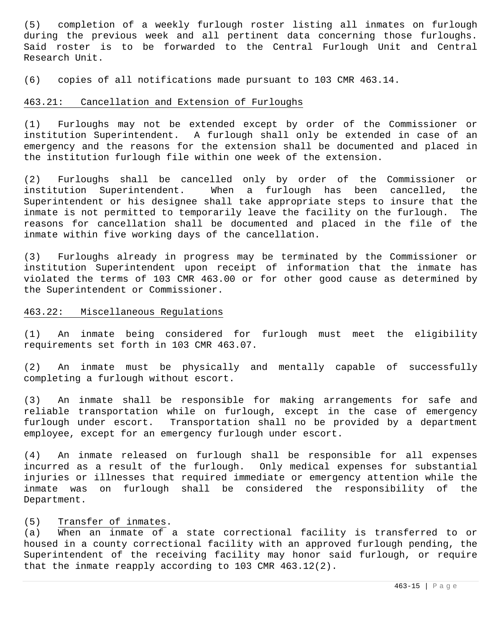(5) completion of a weekly furlough roster listing all inmates on furlough during the previous week and all pertinent data concerning those furloughs. Said roster is to be forwarded to the Central Furlough Unit and Central Research Unit.

(6) copies of all notifications made pursuant to 103 CMR 463.14.

## 463.21: Cancellation and Extension of Furloughs

(1) Furloughs may not be extended except by order of the Commissioner or institution Superintendent. A furlough shall only be extended in case of an emergency and the reasons for the extension shall be documented and placed in the institution furlough file within one week of the extension.

(2) Furloughs shall be cancelled only by order of the Commissioner or institution Superintendent. When a furlough has been cancelled, the Superintendent or his designee shall take appropriate steps to insure that the inmate is not permitted to temporarily leave the facility on the furlough. The reasons for cancellation shall be documented and placed in the file of the inmate within five working days of the cancellation.

(3) Furloughs already in progress may be terminated by the Commissioner or institution Superintendent upon receipt of information that the inmate has violated the terms of 103 CMR 463.00 or for other good cause as determined by the Superintendent or Commissioner.

## 463.22: Miscellaneous Regulations

(1) An inmate being considered for furlough must meet the eligibility requirements set forth in 103 CMR 463.07.

(2) An inmate must be physically and mentally capable of successfully completing a furlough without escort.

(3) An inmate shall be responsible for making arrangements for safe and reliable transportation while on furlough, except in the case of emergency furlough under escort. Transportation shall no be provided by a department employee, except for an emergency furlough under escort.

(4) An inmate released on furlough shall be responsible for all expenses incurred as a result of the furlough. Only medical expenses for substantial injuries or illnesses that required immediate or emergency attention while the inmate was on furlough shall be considered the responsibility of the Department.

# (5) Transfer of inmates.

(a) When an inmate of a state correctional facility is transferred to or housed in a county correctional facility with an approved furlough pending, the Superintendent of the receiving facility may honor said furlough, or require that the inmate reapply according to 103 CMR 463.12(2).